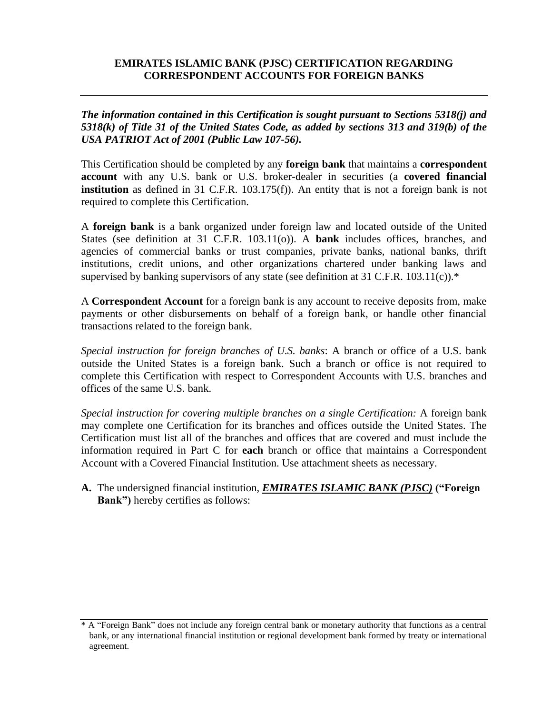## **EMIRATES ISLAMIC BANK (PJSC) CERTIFICATION REGARDING CORRESPONDENT ACCOUNTS FOR FOREIGN BANKS**

*The information contained in this Certification is sought pursuant to Sections 5318(j) and 5318(k) of Title 31 of the United States Code, as added by sections 313 and 319(b) of the USA PATRIOT Act of 2001 (Public Law 107-56).*

This Certification should be completed by any **foreign bank** that maintains a **correspondent account** with any U.S. bank or U.S. broker-dealer in securities (a **covered financial institution** as defined in 31 C.F.R. 103.175(f)). An entity that is not a foreign bank is not required to complete this Certification.

A **foreign bank** is a bank organized under foreign law and located outside of the United States (see definition at 31 C.F.R. 103.11(o)). A **bank** includes offices, branches, and agencies of commercial banks or trust companies, private banks, national banks, thrift institutions, credit unions, and other organizations chartered under banking laws and supervised by banking supervisors of any state (see definition at 31 C.F.R. 103.11(c)).\*

A **Correspondent Account** for a foreign bank is any account to receive deposits from, make payments or other disbursements on behalf of a foreign bank, or handle other financial transactions related to the foreign bank.

*Special instruction for foreign branches of U.S. banks*: A branch or office of a U.S. bank outside the United States is a foreign bank. Such a branch or office is not required to complete this Certification with respect to Correspondent Accounts with U.S. branches and offices of the same U.S. bank.

*Special instruction for covering multiple branches on a single Certification:* A foreign bank may complete one Certification for its branches and offices outside the United States. The Certification must list all of the branches and offices that are covered and must include the information required in Part C for **each** branch or office that maintains a Correspondent Account with a Covered Financial Institution. Use attachment sheets as necessary.

**A.** The undersigned financial institution, *EMIRATES ISLAMIC BANK (PJSC)* **("Foreign Bank")** hereby certifies as follows:

<sup>\*</sup> A "Foreign Bank" does not include any foreign central bank or monetary authority that functions as a central bank, or any international financial institution or regional development bank formed by treaty or international agreement.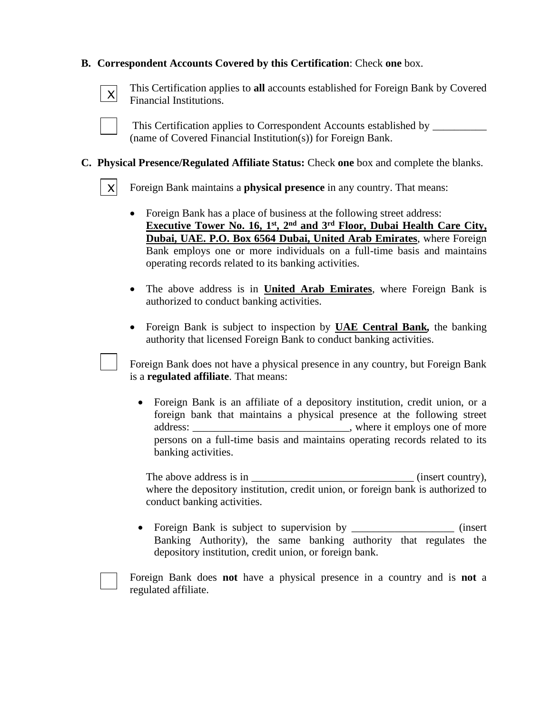## **B. Correspondent Accounts Covered by this Certification**: Check **one** box.

 $\vert x \vert$ Ξ

This Certification applies to **all** accounts established for Foreign Bank by Covered Financial Institutions.



This Certification applies to Correspondent Accounts established by \_\_\_\_\_\_\_\_\_\_ (name of Covered Financial Institution(s)) for Foreign Bank.

### **C. Physical Presence/Regulated Affiliate Status:** Check **one** box and complete the blanks.



Ξ

Foreign Bank maintains a **physical presence** in any country. That means:

- Foreign Bank has a place of business at the following street address: **Executive Tower No. 16, 1st, 2nd and 3rd Floor, Dubai Health Care City, Dubai, UAE. P.O. Box 6564 Dubai, United Arab Emirates**, where Foreign Bank employs one or more individuals on a full-time basis and maintains operating records related to its banking activities.
- The above address is in **United Arab Emirates**, where Foreign Bank is authorized to conduct banking activities.
- Foreign Bank is subject to inspection by **UAE Central Bank***,* the banking authority that licensed Foreign Bank to conduct banking activities.

Foreign Bank does not have a physical presence in any country, but Foreign Bank is a **regulated affiliate**. That means:

• Foreign Bank is an affiliate of a depository institution, credit union, or a foreign bank that maintains a physical presence at the following street address: where it employs one of more persons on a full-time basis and maintains operating records related to its banking activities.

The above address is in \_\_\_\_\_\_\_\_\_\_\_\_\_\_\_\_\_\_\_\_\_\_\_\_\_\_\_\_\_\_ (insert country), where the depository institution, credit union, or foreign bank is authorized to conduct banking activities.

• Foreign Bank is subject to supervision by \_\_\_\_\_\_\_\_\_\_\_\_\_\_\_\_\_\_\_\_\_ (insert Banking Authority), the same banking authority that regulates the depository institution, credit union, or foreign bank.



Foreign Bank does **not** have a physical presence in a country and is **not** a regulated affiliate.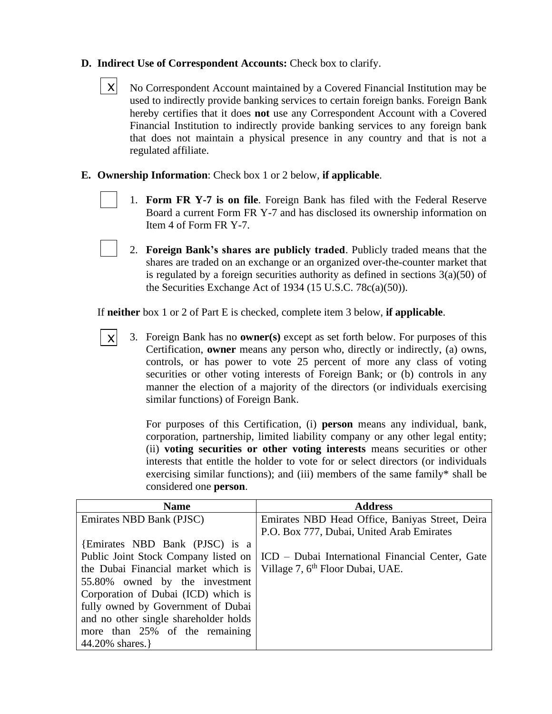# **D. Indirect Use of Correspondent Accounts:** Check box to clarify.

- No Correspondent Account maintained by a Covered Financial Institution may be used to indirectly provide banking services to certain foreign banks. Foreign Bank hereby certifies that it does **not** use any Correspondent Account with a Covered Financial Institution to indirectly provide banking services to any foreign bank that does not maintain a physical presence in any country and that is not a regulated affiliate. X Ξ
- **E. Ownership Information**: Check box 1 or 2 below, **if applicable**.

Ξ

- 1. **Form FR Y-7 is on file**. Foreign Bank has filed with the Federal Reserve Board a current Form FR Y-7 and has disclosed its ownership information on Item 4 of Form FR Y-7.
- 2. **Foreign Bank's shares are publicly traded**. Publicly traded means that the shares are traded on an exchange or an organized over-the-counter market that is regulated by a foreign securities authority as defined in sections  $3(a)(50)$  of the Securities Exchange Act of 1934 (15 U.S.C. 78c(a)(50)).

If **neither** box 1 or 2 of Part E is checked, complete item 3 below, **if applicable**.

3. Foreign Bank has no **owner(s)** except as set forth below. For purposes of this Certification, **owner** means any person who, directly or indirectly, (a) owns, controls, or has power to vote 25 percent of more any class of voting securities or other voting interests of Foreign Bank; or (b) controls in any manner the election of a majority of the directors (or individuals exercising similar functions) of Foreign Bank. X

> For purposes of this Certification, (i) **person** means any individual, bank, corporation, partnership, limited liability company or any other legal entity; (ii) **voting securities or other voting interests** means securities or other interests that entitle the holder to vote for or select directors (or individuals exercising similar functions); and (iii) members of the same family\* shall be considered one **person**.

| <b>Name</b>                                                              | <b>Address</b>                                   |
|--------------------------------------------------------------------------|--------------------------------------------------|
| Emirates NBD Bank (PJSC)                                                 | Emirates NBD Head Office, Baniyas Street, Deira  |
|                                                                          | P.O. Box 777, Dubai, United Arab Emirates        |
| {Emirates NBD Bank (PJSC) is a                                           |                                                  |
| Public Joint Stock Company listed on                                     | ICD – Dubai International Financial Center, Gate |
| the Dubai Financial market which is   Village 7, $6th$ Floor Dubai, UAE. |                                                  |
| 55.80% owned by the investment                                           |                                                  |
| Corporation of Dubai (ICD) which is                                      |                                                  |
| fully owned by Government of Dubai                                       |                                                  |
| and no other single shareholder holds                                    |                                                  |
| more than 25% of the remaining                                           |                                                  |
| 44.20% shares.                                                           |                                                  |